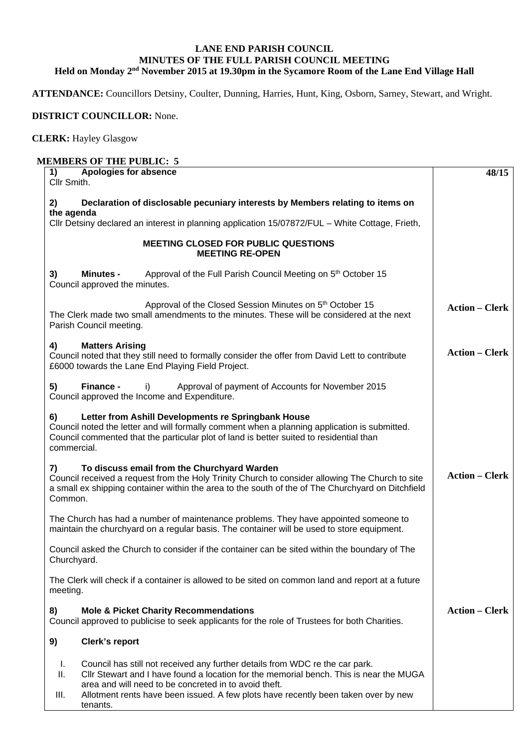## **LANE END PARISH COUNCIL MINUTES OF THE FULL PARISH COUNCIL MEETING Held on Monday 2nd November 2015 at 19.30pm in the Sycamore Room of the Lane End Village Hall**

**ATTENDANCE:** Councillors Detsiny, Coulter, Dunning, Harries, Hunt, King, Osborn, Sarney, Stewart, and Wright.

## **DISTRICT COUNCILLOR:** None.

## **CLERK:** Hayley Glasgow

## **MEMBERS OF THE PUBLIC: 5**

| Apologies for absence<br>1)<br>Cllr Smith.                                                                                                                                                                                                                                                                                                            | 48/15                 |
|-------------------------------------------------------------------------------------------------------------------------------------------------------------------------------------------------------------------------------------------------------------------------------------------------------------------------------------------------------|-----------------------|
| 2)<br>Declaration of disclosable pecuniary interests by Members relating to items on                                                                                                                                                                                                                                                                  |                       |
| the agenda<br>Cllr Detsiny declared an interest in planning application 15/07872/FUL - White Cottage, Frieth,                                                                                                                                                                                                                                         |                       |
| <b>MEETING CLOSED FOR PUBLIC QUESTIONS</b><br><b>MEETING RE-OPEN</b>                                                                                                                                                                                                                                                                                  |                       |
| Approval of the Full Parish Council Meeting on 5 <sup>th</sup> October 15<br>3)<br><b>Minutes -</b><br>Council approved the minutes.                                                                                                                                                                                                                  |                       |
| Approval of the Closed Session Minutes on 5 <sup>th</sup> October 15<br>The Clerk made two small amendments to the minutes. These will be considered at the next<br>Parish Council meeting.                                                                                                                                                           | <b>Action - Clerk</b> |
| 4)<br><b>Matters Arising</b><br>Council noted that they still need to formally consider the offer from David Lett to contribute<br>£6000 towards the Lane End Playing Field Project.                                                                                                                                                                  | <b>Action – Clerk</b> |
| 5)<br>Finance -<br>Approval of payment of Accounts for November 2015<br>I)<br>Council approved the Income and Expenditure.                                                                                                                                                                                                                            |                       |
| Letter from Ashill Developments re Springbank House<br>6)<br>Council noted the letter and will formally comment when a planning application is submitted.<br>Council commented that the particular plot of land is better suited to residential than<br>commercial.                                                                                   |                       |
| To discuss email from the Churchyard Warden<br>7)<br>Council received a request from the Holy Trinity Church to consider allowing The Church to site<br>a small ex shipping container within the area to the south of the of The Churchyard on Ditchfield<br>Common.                                                                                  | <b>Action - Clerk</b> |
| The Church has had a number of maintenance problems. They have appointed someone to<br>maintain the churchyard on a regular basis. The container will be used to store equipment.                                                                                                                                                                     |                       |
| Council asked the Church to consider if the container can be sited within the boundary of The<br>Churchyard.                                                                                                                                                                                                                                          |                       |
| The Clerk will check if a container is allowed to be sited on common land and report at a future<br>meeting.                                                                                                                                                                                                                                          |                       |
| <b>Mole &amp; Picket Charity Recommendations</b><br>8)<br>Council approved to publicise to seek applicants for the role of Trustees for both Charities.                                                                                                                                                                                               | <b>Action – Clerk</b> |
| Clerk's report<br>9)                                                                                                                                                                                                                                                                                                                                  |                       |
| Council has still not received any further details from WDC re the car park.<br>L.<br>Ш.<br>CIIr Stewart and I have found a location for the memorial bench. This is near the MUGA<br>area and will need to be concreted in to avoid theft.<br>III.<br>Allotment rents have been issued. A few plots have recently been taken over by new<br>tenants. |                       |